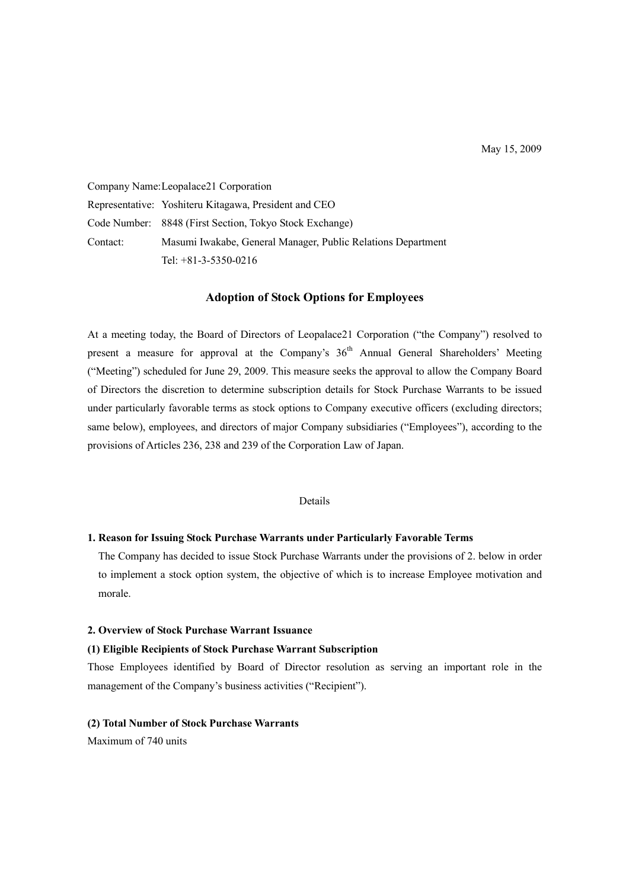Company Name: Leopalace21 Corporation Representative: Yoshiteru Kitagawa, President and CEO Code Number: 8848 (First Section, Tokyo Stock Exchange) Contact: Masumi Iwakabe, General Manager, Public Relations Department Tel: +81-3-5350-0216

## **Adoption of Stock Options for Employees**

At a meeting today, the Board of Directors of Leopalace21 Corporation ("the Company") resolved to present a measure for approval at the Company's 36<sup>th</sup> Annual General Shareholders' Meeting ("Meeting") scheduled for June 29, 2009. This measure seeks the approval to allow the Company Board of Directors the discretion to determine subscription details for Stock Purchase Warrants to be issued under particularly favorable terms as stock options to Company executive officers (excluding directors; same below), employees, and directors of major Company subsidiaries ("Employees"), according to the provisions of Articles 236, 238 and 239 of the Corporation Law of Japan.

#### Details

# **1. Reason for Issuing Stock Purchase Warrants under Particularly Favorable Terms**

The Company has decided to issue Stock Purchase Warrants under the provisions of 2. below in order to implement a stock option system, the objective of which is to increase Employee motivation and morale.

## **2. Overview of Stock Purchase Warrant Issuance**

#### **(1) Eligible Recipients of Stock Purchase Warrant Subscription**

Those Employees identified by Board of Director resolution as serving an important role in the management of the Company's business activities ("Recipient").

# **(2) Total Number of Stock Purchase Warrants**

Maximum of 740 units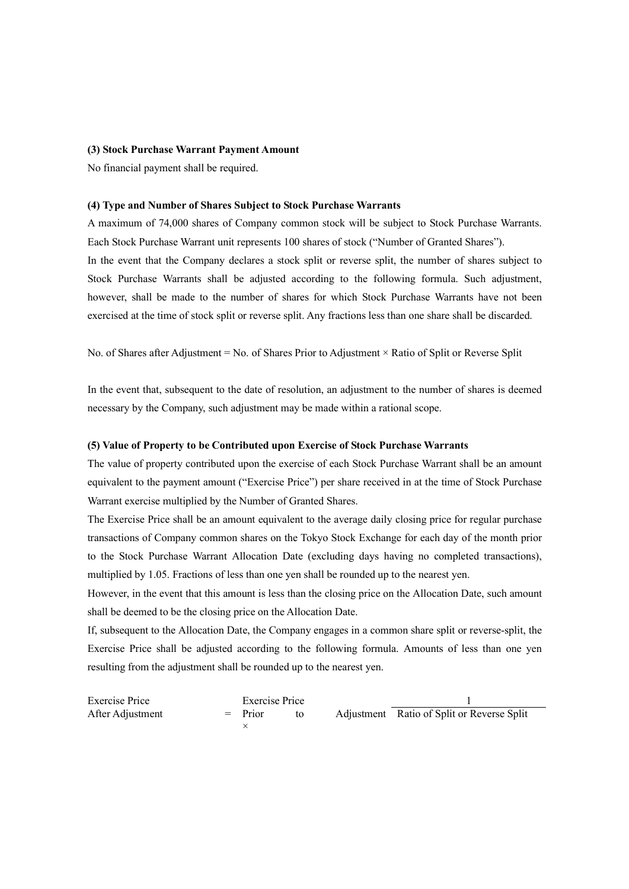#### **(3) Stock Purchase Warrant Payment Amount**

No financial payment shall be required.

#### **(4) Type and Number of Shares Subject to Stock Purchase Warrants**

A maximum of 74,000 shares of Company common stock will be subject to Stock Purchase Warrants. Each Stock Purchase Warrant unit represents 100 shares of stock ("Number of Granted Shares"). In the event that the Company declares a stock split or reverse split, the number of shares subject to Stock Purchase Warrants shall be adjusted according to the following formula. Such adjustment, however, shall be made to the number of shares for which Stock Purchase Warrants have not been exercised at the time of stock split or reverse split. Any fractions less than one share shall be discarded.

No. of Shares after Adjustment = No. of Shares Prior to Adjustment × Ratio of Split or Reverse Split

In the event that, subsequent to the date of resolution, an adjustment to the number of shares is deemed necessary by the Company, such adjustment may be made within a rational scope.

### **(5) Value of Property to be Contributed upon Exercise of Stock Purchase Warrants**

The value of property contributed upon the exercise of each Stock Purchase Warrant shall be an amount equivalent to the payment amount ("Exercise Price") per share received in at the time of Stock Purchase Warrant exercise multiplied by the Number of Granted Shares.

The Exercise Price shall be an amount equivalent to the average daily closing price for regular purchase transactions of Company common shares on the Tokyo Stock Exchange for each day of the month prior to the Stock Purchase Warrant Allocation Date (excluding days having no completed transactions), multiplied by 1.05. Fractions of less than one yen shall be rounded up to the nearest yen.

However, in the event that this amount is less than the closing price on the Allocation Date, such amount shall be deemed to be the closing price on the Allocation Date.

If, subsequent to the Allocation Date, the Company engages in a common share split or reverse-split, the Exercise Price shall be adjusted according to the following formula. Amounts of less than one yen resulting from the adjustment shall be rounded up to the nearest yen.

| Exercise Price   | Exercise Price |           |  |  |                                            |  |
|------------------|----------------|-----------|--|--|--------------------------------------------|--|
| After Adjustment |                | $=$ Prior |  |  | Adjustment Ratio of Split or Reverse Split |  |
|                  |                |           |  |  |                                            |  |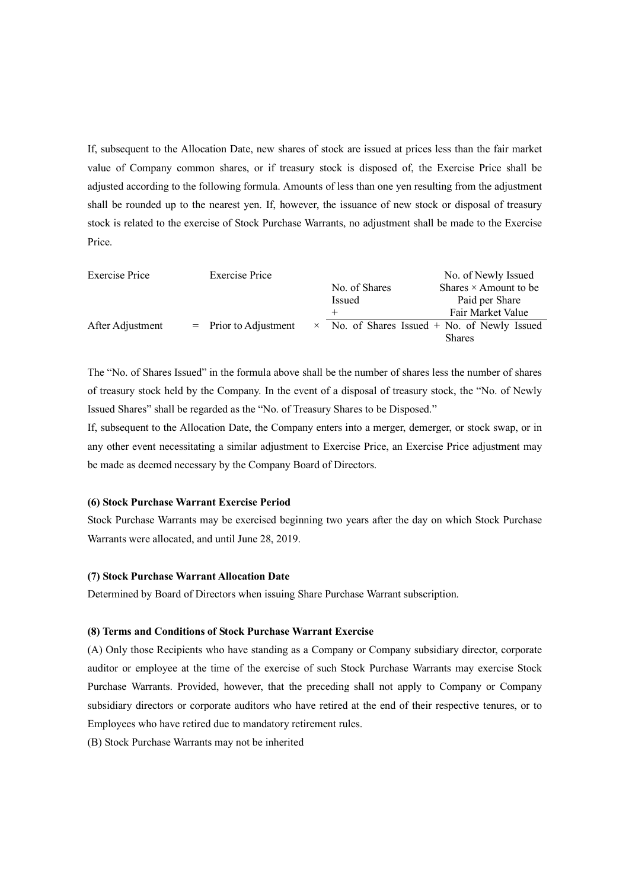If, subsequent to the Allocation Date, new shares of stock are issued at prices less than the fair market value of Company common shares, or if treasury stock is disposed of, the Exercise Price shall be adjusted according to the following formula. Amounts of less than one yen resulting from the adjustment shall be rounded up to the nearest yen. If, however, the issuance of new stock or disposal of treasury stock is related to the exercise of Stock Purchase Warrants, no adjustment shall be made to the Exercise Price.

| <b>Exercise Price</b> | <b>Exercise Price</b>   |  | No. of Newly Issued |                                                     |  |
|-----------------------|-------------------------|--|---------------------|-----------------------------------------------------|--|
|                       |                         |  | No. of Shares       | Shares $\times$ Amount to be                        |  |
|                       |                         |  | Issued              | Paid per Share                                      |  |
|                       |                         |  | $^+$                | Fair Market Value                                   |  |
| After Adjustment      | $=$ Prior to Adjustment |  |                     | $\times$ No. of Shares Issued + No. of Newly Issued |  |
|                       |                         |  |                     | <b>Shares</b>                                       |  |

The "No. of Shares Issued" in the formula above shall be the number of shares less the number of shares of treasury stock held by the Company. In the event of a disposal of treasury stock, the "No. of Newly Issued Shares" shall be regarded as the "No. of Treasury Shares to be Disposed."

If, subsequent to the Allocation Date, the Company enters into a merger, demerger, or stock swap, or in any other event necessitating a similar adjustment to Exercise Price, an Exercise Price adjustment may be made as deemed necessary by the Company Board of Directors.

# **(6) Stock Purchase Warrant Exercise Period**

Stock Purchase Warrants may be exercised beginning two years after the day on which Stock Purchase Warrants were allocated, and until June 28, 2019.

### **(7) Stock Purchase Warrant Allocation Date**

Determined by Board of Directors when issuing Share Purchase Warrant subscription.

#### **(8) Terms and Conditions of Stock Purchase Warrant Exercise**

(A) Only those Recipients who have standing as a Company or Company subsidiary director, corporate auditor or employee at the time of the exercise of such Stock Purchase Warrants may exercise Stock Purchase Warrants. Provided, however, that the preceding shall not apply to Company or Company subsidiary directors or corporate auditors who have retired at the end of their respective tenures, or to Employees who have retired due to mandatory retirement rules.

(B) Stock Purchase Warrants may not be inherited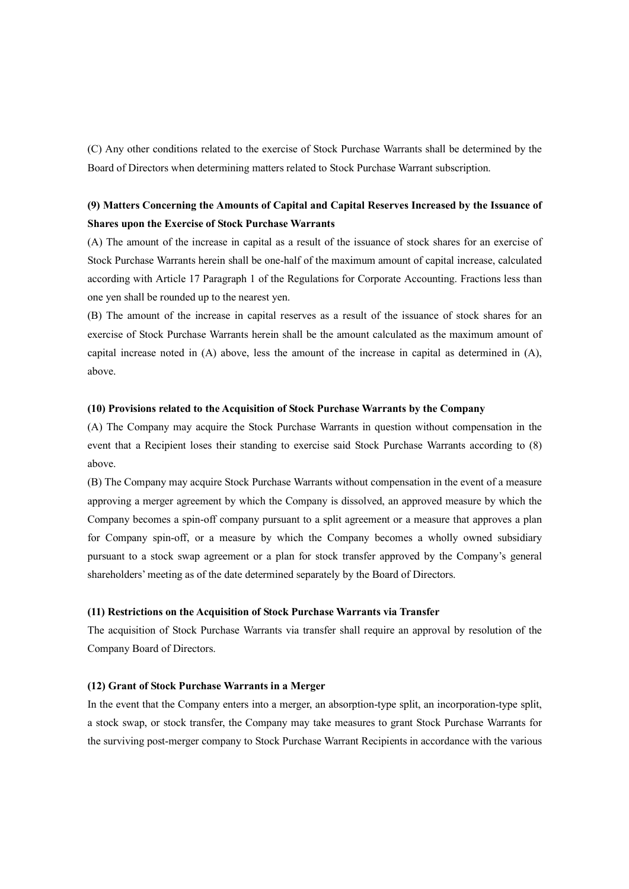(C) Any other conditions related to the exercise of Stock Purchase Warrants shall be determined by the Board of Directors when determining matters related to Stock Purchase Warrant subscription.

# **(9) Matters Concerning the Amounts of Capital and Capital Reserves Increased by the Issuance of Shares upon the Exercise of Stock Purchase Warrants**

(A) The amount of the increase in capital as a result of the issuance of stock shares for an exercise of Stock Purchase Warrants herein shall be one-half of the maximum amount of capital increase, calculated according with Article 17 Paragraph 1 of the Regulations for Corporate Accounting. Fractions less than one yen shall be rounded up to the nearest yen.

(B) The amount of the increase in capital reserves as a result of the issuance of stock shares for an exercise of Stock Purchase Warrants herein shall be the amount calculated as the maximum amount of capital increase noted in (A) above, less the amount of the increase in capital as determined in (A), above.

#### **(10) Provisions related to the Acquisition of Stock Purchase Warrants by the Company**

(A) The Company may acquire the Stock Purchase Warrants in question without compensation in the event that a Recipient loses their standing to exercise said Stock Purchase Warrants according to (8) above.

(B) The Company may acquire Stock Purchase Warrants without compensation in the event of a measure approving a merger agreement by which the Company is dissolved, an approved measure by which the Company becomes a spin-off company pursuant to a split agreement or a measure that approves a plan for Company spin-off, or a measure by which the Company becomes a wholly owned subsidiary pursuant to a stock swap agreement or a plan for stock transfer approved by the Company's general shareholders' meeting as of the date determined separately by the Board of Directors.

#### **(11) Restrictions on the Acquisition of Stock Purchase Warrants via Transfer**

The acquisition of Stock Purchase Warrants via transfer shall require an approval by resolution of the Company Board of Directors.

## **(12) Grant of Stock Purchase Warrants in a Merger**

In the event that the Company enters into a merger, an absorption-type split, an incorporation-type split, a stock swap, or stock transfer, the Company may take measures to grant Stock Purchase Warrants for the surviving post-merger company to Stock Purchase Warrant Recipients in accordance with the various